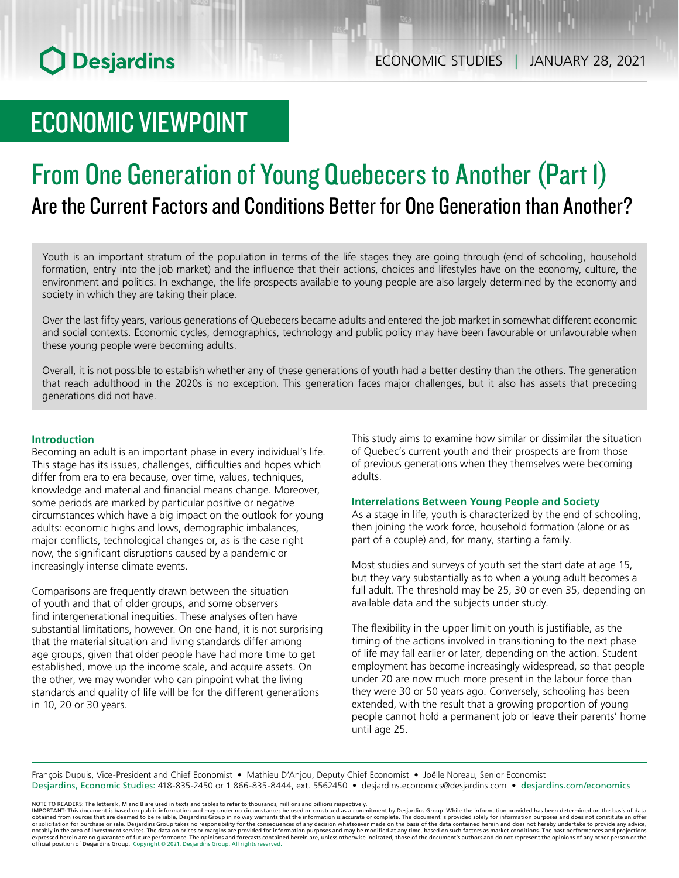# ECONOMIC VIEWPOINT

# From One Generation of Young Quebecers to Another (Part 1) Are the Current Factors and Conditions Better for One Generation than Another?

Youth is an important stratum of the population in terms of the life stages they are going through (end of schooling, household formation, entry into the job market) and the influence that their actions, choices and lifestyles have on the economy, culture, the environment and politics. In exchange, the life prospects available to young people are also largely determined by the economy and society in which they are taking their place.

Over the last fifty years, various generations of Quebecers became adults and entered the job market in somewhat different economic and social contexts. Economic cycles, demographics, technology and public policy may have been favourable or unfavourable when these young people were becoming adults.

Overall, it is not possible to establish whether any of these generations of youth had a better destiny than the others. The generation that reach adulthood in the 2020s is no exception. This generation faces major challenges, but it also has assets that preceding generations did not have.

### **Introduction**

Becoming an adult is an important phase in every individual's life. This stage has its issues, challenges, difficulties and hopes which differ from era to era because, over time, values, techniques, knowledge and material and financial means change. Moreover, some periods are marked by particular positive or negative circumstances which have a big impact on the outlook for young adults: economic highs and lows, demographic imbalances, major conflicts, technological changes or, as is the case right now, the significant disruptions caused by a pandemic or increasingly intense climate events.

Comparisons are frequently drawn between the situation of youth and that of older groups, and some observers find intergenerational inequities. These analyses often have substantial limitations, however. On one hand, it is not surprising that the material situation and living standards differ among age groups, given that older people have had more time to get established, move up the income scale, and acquire assets. On the other, we may wonder who can pinpoint what the living standards and quality of life will be for the different generations in 10, 20 or 30 years.

This study aims to examine how similar or dissimilar the situation of Quebec's current youth and their prospects are from those of previous generations when they themselves were becoming adults.

### **Interrelations Between Young People and Society**

As a stage in life, youth is characterized by the end of schooling, then joining the work force, household formation (alone or as part of a couple) and, for many, starting a family.

Most studies and surveys of youth set the start date at age 15, but they vary substantially as to when a young adult becomes a full adult. The threshold may be 25, 30 or even 35, depending on available data and the subjects under study.

The flexibility in the upper limit on youth is justifiable, as the timing of the actions involved in transitioning to the next phase of life may fall earlier or later, depending on the action. Student employment has become increasingly widespread, so that people under 20 are now much more present in the labour force than they were 30 or 50 years ago. Conversely, schooling has been extended, with the result that a growing proportion of young people cannot hold a permanent job or leave their parents' home until age 25.

François Dupuis, Vice-President and Chief Economist • Mathieu D'Anjou, Deputy Chief Economist • Joëlle Noreau, Senior Economist Desjardins, Economic Studies: 418-835-2450 or 1 866-835-8444, ext. 5562450 • desjardins.economics@desjardins.com • desjardins.com/economics

NOTE TO READERS: The letters k, M and B are used in texts and tables to refer to thousands, millions and billions respectively.<br>IMPORTANT: This document is based on public information and may under no circumstances be used obtained from sources that are deemed to be reliable, Desjardins Group in no way warrants that the information is accurate or complete. The document is provided solely for information purposes and does not constitute an of official position of Desjardins Group. Copyright © 2021, Desjardins Group. All rights reserved.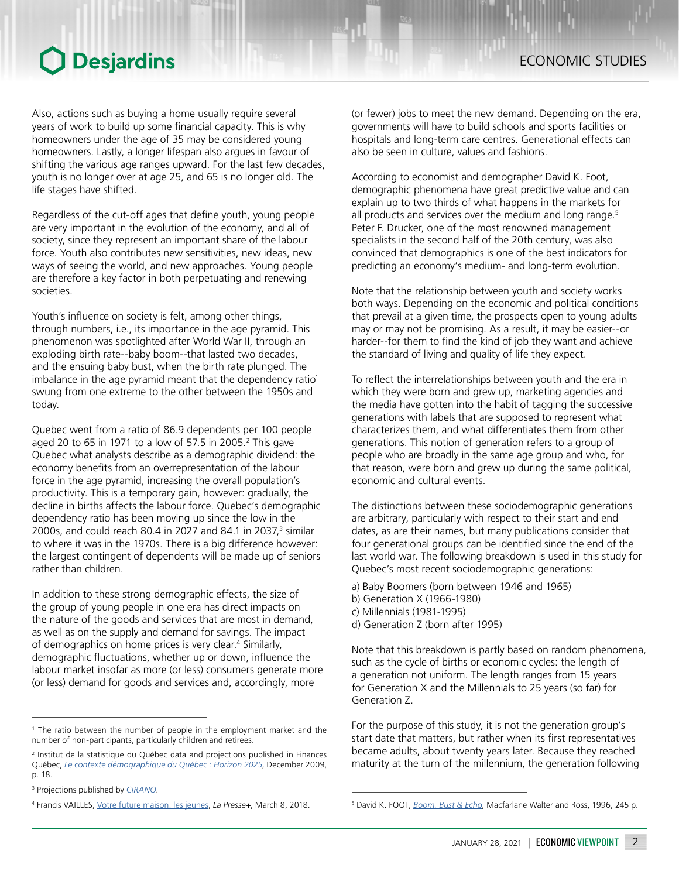ECONOMIC STUDIES

Also, actions such as buying a home usually require several years of work to build up some financial capacity. This is why homeowners under the age of 35 may be considered young homeowners. Lastly, a longer lifespan also argues in favour of shifting the various age ranges upward. For the last few decades, youth is no longer over at age 25, and 65 is no longer old. The life stages have shifted.

Regardless of the cut-off ages that define youth, young people are very important in the evolution of the economy, and all of society, since they represent an important share of the labour force. Youth also contributes new sensitivities, new ideas, new ways of seeing the world, and new approaches. Young people are therefore a key factor in both perpetuating and renewing societies.

Youth's influence on society is felt, among other things, through numbers, i.e., its importance in the age pyramid. This phenomenon was spotlighted after World War II, through an exploding birth rate--baby boom--that lasted two decades, and the ensuing baby bust, when the birth rate plunged. The imbalance in the age pyramid meant that the dependency ratio<sup>1</sup> swung from one extreme to the other between the 1950s and today.

Quebec went from a ratio of 86.9 dependents per 100 people aged 20 to 65 in 1971 to a low of 57.5 in 2005.<sup>2</sup> This gave Quebec what analysts describe as a demographic dividend: the economy benefits from an overrepresentation of the labour force in the age pyramid, increasing the overall population's productivity. This is a temporary gain, however: gradually, the decline in births affects the labour force. Quebec's demographic dependency ratio has been moving up since the low in the 2000s, and could reach 80.4 in 2027 and 84.1 in 2037,<sup>3</sup> similar to where it was in the 1970s. There is a big difference however: the largest contingent of dependents will be made up of seniors rather than children.

In addition to these strong demographic effects, the size of the group of young people in one era has direct impacts on the nature of the goods and services that are most in demand, as well as on the supply and demand for savings. The impact of demographics on home prices is very clear.<sup>4</sup> Similarly, demographic fluctuations, whether up or down, influence the labour market insofar as more (or less) consumers generate more (or less) demand for goods and services and, accordingly, more

(or fewer) jobs to meet the new demand. Depending on the era, governments will have to build schools and sports facilities or hospitals and long-term care centres. Generational effects can also be seen in culture, values and fashions.

According to economist and demographer David K. Foot, demographic phenomena have great predictive value and can explain up to two thirds of what happens in the markets for all products and services over the medium and long range.<sup>5</sup> Peter F. Drucker, one of the most renowned management specialists in the second half of the 20th century, was also convinced that demographics is one of the best indicators for predicting an economy's medium- and long-term evolution.

Note that the relationship between youth and society works both ways. Depending on the economic and political conditions that prevail at a given time, the prospects open to young adults may or may not be promising. As a result, it may be easier--or harder--for them to find the kind of job they want and achieve the standard of living and quality of life they expect.

To reflect the interrelationships between youth and the era in which they were born and grew up, marketing agencies and the media have gotten into the habit of tagging the successive generations with labels that are supposed to represent what characterizes them, and what differentiates them from other generations. This notion of generation refers to a group of people who are broadly in the same age group and who, for that reason, were born and grew up during the same political, economic and cultural events.

The distinctions between these sociodemographic generations are arbitrary, particularly with respect to their start and end dates, as are their names, but many publications consider that four generational groups can be identified since the end of the last world war. The following breakdown is used in this study for Quebec's most recent sociodemographic generations:

- a) Baby Boomers (born between 1946 and 1965)
- b) Generation X (1966-1980)
- c) Millennials (1981-1995)
- d) Generation Z (born after 1995)

Note that this breakdown is partly based on random phenomena, such as the cycle of births or economic cycles: the length of a generation not uniform. The length ranges from 15 years for Generation X and the Millennials to 25 years (so far) for Generation Z.

For the purpose of this study, it is not the generation group's start date that matters, but rather when its first representatives became adults, about twenty years later. Because they reached maturity at the turn of the millennium, the generation following

<sup>1</sup> The ratio between the number of people in the employment market and the number of non-participants, particularly children and retirees.

<sup>2</sup> Institut de la statistique du Québec data and projections published in Finances Québec, *[Le contexte démographique du Québec : Horizon 2025](http://www.finances.gouv.qc.ca/documents/Autres/fr/AUTFR_Horizon2025.pdf)*, December 2009, p. 18.

<sup>3</sup> Projections published by *[CIRANO](https://qe.cirano.qc.ca/theme/demographie/population/tableau-ratio-dependance-demographique)*.

<sup>&</sup>lt;sup>4</sup> Francis VAILLES, <u>[Votre future maison, les jeunes](https://plus.lapresse.ca/screens/776aaa4c-3f5b-47b8-abbc-947456b16029__7C___0.html)</u>, La Presse+, March 8, 2018. <sup>5</sup>

<sup>&</sup>lt;sup>5</sup> David K. FOOT, *[Boom, Bust & Echo](https://books.google.ca/books/about/Boom_Bust_Echo.html?id=pNrSazkFJ48C&redir_esc=y)*, Macfarlane Walter and Ross, 1996, 245 p.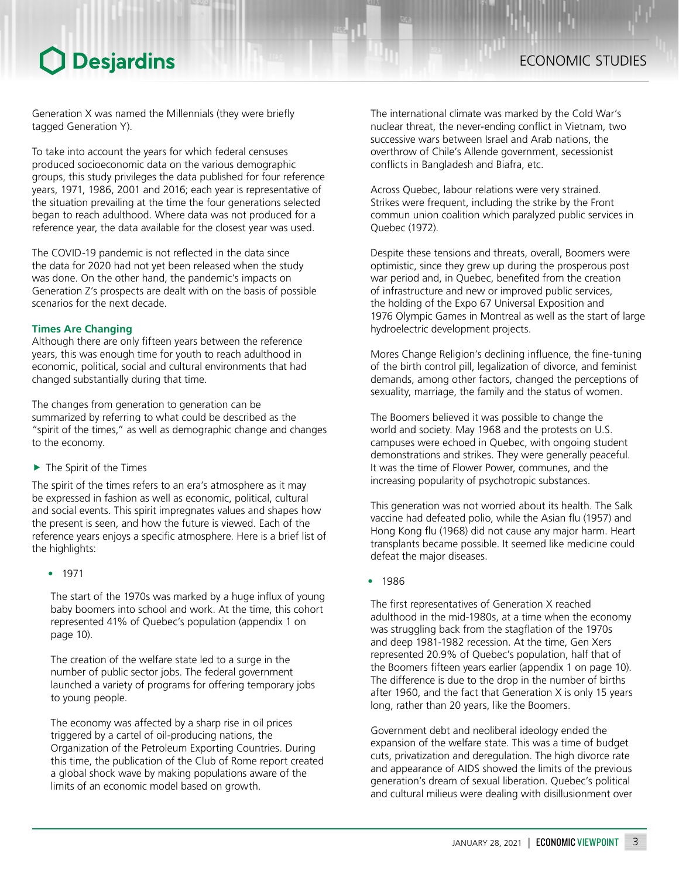## ECONOMIC STUDIES

## **O** Desjardins

Generation X was named the Millennials (they were briefly tagged Generation Y).

To take into account the years for which federal censuses produced socioeconomic data on the various demographic groups, this study privileges the data published for four reference years, 1971, 1986, 2001 and 2016; each year is representative of the situation prevailing at the time the four generations selected began to reach adulthood. Where data was not produced for a reference year, the data available for the closest year was used.

The COVID-19 pandemic is not reflected in the data since the data for 2020 had not yet been released when the study was done. On the other hand, the pandemic's impacts on Generation Z's prospects are dealt with on the basis of possible scenarios for the next decade.

## **Times Are Changing**

Although there are only fifteen years between the reference years, this was enough time for youth to reach adulthood in economic, political, social and cultural environments that had changed substantially during that time.

The changes from generation to generation can be summarized by referring to what could be described as the "spirit of the times," as well as demographic change and changes to the economy.

 $\blacktriangleright$  The Spirit of the Times

The spirit of the times refers to an era's atmosphere as it may be expressed in fashion as well as economic, political, cultural and social events. This spirit impregnates values and shapes how the present is seen, and how the future is viewed. Each of the reference years enjoys a specific atmosphere. Here is a brief list of the highlights:

• 1971

The start of the 1970s was marked by a huge influx of young baby boomers into school and work. At the time, this cohort represented 41% of Quebec's population (appendix 1 on page 10).

The creation of the welfare state led to a surge in the number of public sector jobs. The federal government launched a variety of programs for offering temporary jobs to young people.

The economy was affected by a sharp rise in oil prices triggered by a cartel of oil-producing nations, the Organization of the Petroleum Exporting Countries. During this time, the publication of the Club of Rome report created a global shock wave by making populations aware of the limits of an economic model based on growth.

The international climate was marked by the Cold War's nuclear threat, the never-ending conflict in Vietnam, two successive wars between Israel and Arab nations, the overthrow of Chile's Allende government, secessionist conflicts in Bangladesh and Biafra, etc.

Across Quebec, labour relations were very strained. Strikes were frequent, including the strike by the Front commun union coalition which paralyzed public services in Quebec (1972).

Despite these tensions and threats, overall, Boomers were optimistic, since they grew up during the prosperous post war period and, in Quebec, benefited from the creation of infrastructure and new or improved public services, the holding of the Expo 67 Universal Exposition and 1976 Olympic Games in Montreal as well as the start of large hydroelectric development projects.

Mores Change Religion's declining influence, the fine-tuning of the birth control pill, legalization of divorce, and feminist demands, among other factors, changed the perceptions of sexuality, marriage, the family and the status of women.

The Boomers believed it was possible to change the world and society. May 1968 and the protests on U.S. campuses were echoed in Quebec, with ongoing student demonstrations and strikes. They were generally peaceful. It was the time of Flower Power, communes, and the increasing popularity of psychotropic substances.

This generation was not worried about its health. The Salk vaccine had defeated polio, while the Asian flu (1957) and Hong Kong flu (1968) did not cause any major harm. Heart transplants became possible. It seemed like medicine could defeat the major diseases.

• 1986

The first representatives of Generation X reached adulthood in the mid-1980s, at a time when the economy was struggling back from the stagflation of the 1970s and deep 1981-1982 recession. At the time, Gen Xers represented 20.9% of Quebec's population, half that of the Boomers fifteen years earlier (appendix 1 on page 10). The difference is due to the drop in the number of births after 1960, and the fact that Generation X is only 15 years long, rather than 20 years, like the Boomers.

Government debt and neoliberal ideology ended the expansion of the welfare state. This was a time of budget cuts, privatization and deregulation. The high divorce rate and appearance of AIDS showed the limits of the previous generation's dream of sexual liberation. Quebec's political and cultural milieus were dealing with disillusionment over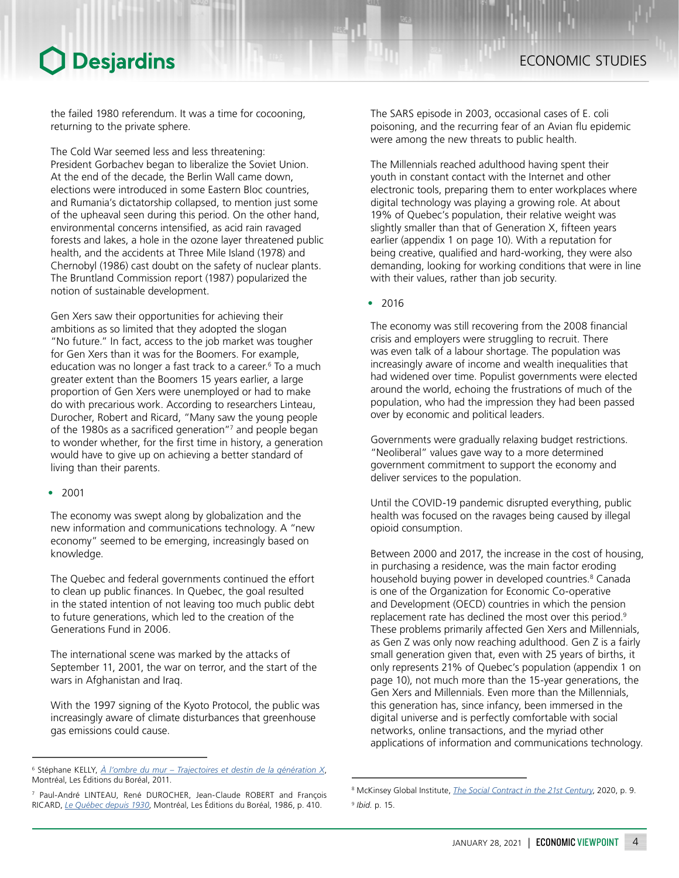the failed 1980 referendum. It was a time for cocooning, returning to the private sphere.

The Cold War seemed less and less threatening: President Gorbachev began to liberalize the Soviet Union. At the end of the decade, the Berlin Wall came down, elections were introduced in some Eastern Bloc countries, and Rumania's dictatorship collapsed, to mention just some of the upheaval seen during this period. On the other hand, environmental concerns intensified, as acid rain ravaged forests and lakes, a hole in the ozone layer threatened public health, and the accidents at Three Mile Island (1978) and Chernobyl (1986) cast doubt on the safety of nuclear plants. The Bruntland Commission report (1987) popularized the notion of sustainable development.

Gen Xers saw their opportunities for achieving their ambitions as so limited that they adopted the slogan "No future." In fact, access to the job market was tougher for Gen Xers than it was for the Boomers. For example, education was no longer a fast track to a career.<sup>6</sup> To a much greater extent than the Boomers 15 years earlier, a large proportion of Gen Xers were unemployed or had to make do with precarious work. According to researchers Linteau, Durocher, Robert and Ricard, "Many saw the young people of the 1980s as a sacrificed generation"7 and people began to wonder whether, for the first time in history, a generation would have to give up on achieving a better standard of living than their parents.

### • 2001

The economy was swept along by globalization and the new information and communications technology. A "new economy" seemed to be emerging, increasingly based on knowledge.

The Quebec and federal governments continued the effort to clean up public finances. In Quebec, the goal resulted in the stated intention of not leaving too much public debt to future generations, which led to the creation of the Generations Fund in 2006.

The international scene was marked by the attacks of September 11, 2001, the war on terror, and the start of the wars in Afghanistan and Iraq.

With the 1997 signing of the Kyoto Protocol, the public was increasingly aware of climate disturbances that greenhouse gas emissions could cause.

The SARS episode in 2003, occasional cases of E. coli poisoning, and the recurring fear of an Avian flu epidemic were among the new threats to public health.

The Millennials reached adulthood having spent their youth in constant contact with the Internet and other electronic tools, preparing them to enter workplaces where digital technology was playing a growing role. At about 19% of Quebec's population, their relative weight was slightly smaller than that of Generation X, fifteen years earlier (appendix 1 on page 10). With a reputation for being creative, qualified and hard-working, they were also demanding, looking for working conditions that were in line with their values, rather than job security.

• 2016

The economy was still recovering from the 2008 financial crisis and employers were struggling to recruit. There was even talk of a labour shortage. The population was increasingly aware of income and wealth inequalities that had widened over time. Populist governments were elected around the world, echoing the frustrations of much of the population, who had the impression they had been passed over by economic and political leaders.

Governments were gradually relaxing budget restrictions. "Neoliberal" values gave way to a more determined government commitment to support the economy and deliver services to the population.

Until the COVID-19 pandemic disrupted everything, public health was focused on the ravages being caused by illegal opioid consumption.

Between 2000 and 2017, the increase in the cost of housing, in purchasing a residence, was the main factor eroding household buying power in developed countries.<sup>8</sup> Canada is one of the Organization for Economic Co-operative and Development (OECD) countries in which the pension replacement rate has declined the most over this period.<sup>9</sup> These problems primarily affected Gen Xers and Millennials, as Gen Z was only now reaching adulthood. Gen Z is a fairly small generation given that, even with 25 years of births, it only represents 21% of Quebec's population (appendix 1 on page 10), not much more than the 15-year generations, the Gen Xers and Millennials. Even more than the Millennials, this generation has, since infancy, been immersed in the digital universe and is perfectly comfortable with social networks, online transactions, and the myriad other applications of information and communications technology.

<sup>6</sup> Stéphane KELLY, *[À l'ombre du mur – Trajectoires et destin de la génération X](https://www.editionsboreal.qc.ca/catalogue/livres/ombre-mur-1886.html)*, Montréal, Les Éditions du Boréal, 2011.

<sup>7</sup> Paul-André LINTEAU, René DUROCHER, Jean-Claude ROBERT and François RICARD, *[Le Québec depuis 1930](https://www.editionsboreal.qc.ca/catalogue/livres/histoire-quebec-contemporain-2091.html)*, Montréal, Les Éditions du Boréal, 1986, p. 410.

<sup>8</sup> McKinsey Global Institute, *[The Social Contract in the 21st Century](https://www.mckinsey.com/industries/public-and-social-sector/our-insights/the-social-contract-in-the-21st-century)*, 2020, p. 9.

<sup>9</sup> *Ibid.* p. 15.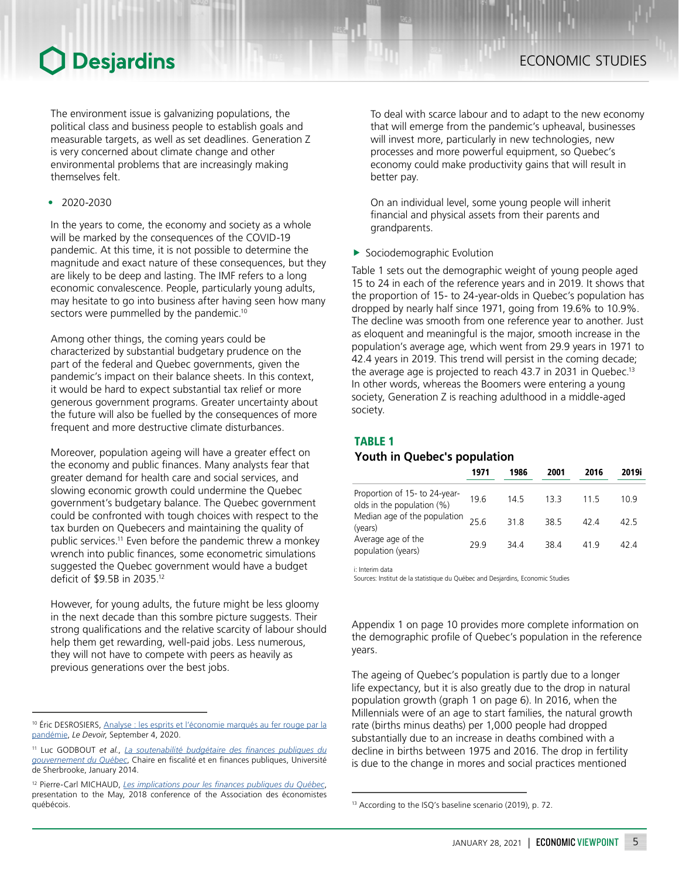The environment issue is galvanizing populations, the political class and business people to establish goals and measurable targets, as well as set deadlines. Generation Z is very concerned about climate change and other environmental problems that are increasingly making themselves felt.

• 2020-2030

In the years to come, the economy and society as a whole will be marked by the consequences of the COVID-19 pandemic. At this time, it is not possible to determine the magnitude and exact nature of these consequences, but they are likely to be deep and lasting. The IMF refers to a long economic convalescence. People, particularly young adults, may hesitate to go into business after having seen how many sectors were pummelled by the pandemic.<sup>10</sup>

Among other things, the coming years could be characterized by substantial budgetary prudence on the part of the federal and Quebec governments, given the pandemic's impact on their balance sheets. In this context, it would be hard to expect substantial tax relief or more generous government programs. Greater uncertainty about the future will also be fuelled by the consequences of more frequent and more destructive climate disturbances.

Moreover, population ageing will have a greater effect on the economy and public finances. Many analysts fear that greater demand for health care and social services, and slowing economic growth could undermine the Quebec government's budgetary balance. The Quebec government could be confronted with tough choices with respect to the tax burden on Quebecers and maintaining the quality of public services.11 Even before the pandemic threw a monkey wrench into public finances, some econometric simulations suggested the Quebec government would have a budget deficit of \$9.5B in 2035.<sup>12</sup>

However, for young adults, the future might be less gloomy in the next decade than this sombre picture suggests. Their strong qualifications and the relative scarcity of labour should help them get rewarding, well-paid jobs. Less numerous, they will not have to compete with peers as heavily as previous generations over the best jobs.

To deal with scarce labour and to adapt to the new economy that will emerge from the pandemic's upheaval, businesses will invest more, particularly in new technologies, new processes and more powerful equipment, so Quebec's economy could make productivity gains that will result in better pay.

On an individual level, some young people will inherit financial and physical assets from their parents and grandparents.

 $\blacktriangleright$  Sociodemographic Evolution

Table 1 sets out the demographic weight of young people aged 15 to 24 in each of the reference years and in 2019. It shows that the proportion of 15- to 24-year-olds in Quebec's population has dropped by nearly half since 1971, going from 19.6% to 10.9%. The decline was smooth from one reference year to another. Just as eloquent and meaningful is the major, smooth increase in the population's average age, which went from 29.9 years in 1971 to 42.4 years in 2019. This trend will persist in the coming decade; the average age is projected to reach 43.7 in 2031 in Quebec.<sup>13</sup> In other words, whereas the Boomers were entering a young society, Generation Z is reaching adulthood in a middle-aged society.

### TABLE 1

### *Youth in Quebec's population*

|                                                             | 1971 | 1986 | 2001 | 2016 | 2019i |
|-------------------------------------------------------------|------|------|------|------|-------|
| Proportion of 15- to 24-year-<br>olds in the population (%) | 19.6 | 145  | 133  | 115  | 10 9  |
| Median age of the population<br>(years)                     | 256  | 318  | 38.5 | 424  | 42 5  |
| Average age of the<br>population (years)                    | 299  | 344  | 384  | 419  | 424   |

i: Interim data

Sources: Institut de la statistique du Québec and Desjardins, Economic Studies

Appendix 1 on page 10 provides more complete information on the demographic profile of Quebec's population in the reference years.

The ageing of Quebec's population is partly due to a longer life expectancy, but it is also greatly due to the drop in natural population growth (graph 1 on page 6). In 2016, when the Millennials were of an age to start families, the natural growth rate (births minus deaths) per 1,000 people had dropped substantially due to an increase in deaths combined with a decline in births between 1975 and 2016. The drop in fertility is due to the change in mores and social practices mentioned

<sup>&</sup>lt;sup>10</sup> Éric DESROSIERS, Analyse : les esprits et l'économie marqués au fer rouge par la [pandémie](https://www.ledevoir.com/economie/585362/analyse-les-esprits-et-l-economie-marques-au-fer-rouge-par-la-pandemie), *Le Devoir*, September 4, 2020.

<sup>11</sup> Luc GODBOUT *et al.*, *[La soutenabilité budgétaire des finances publiques du](https://savoirs.usherbrooke.ca/handle/11143/8456)  [gouvernement du Québec](https://savoirs.usherbrooke.ca/handle/11143/8456)*, Chaire en fiscalité et en finances publiques, Université de Sherbrooke, January 2014.

<sup>12</sup> Pierre-Carl MICHAUD, *[Les implications pour les finances publiques du Québec](http://www.economistesquebecois.com/files/documents/d2/60/29mai-a1-4-michaud.pdf)*, presentation to the May, 2018 conference of the Association des économistes québécois.

<sup>13</sup> According to the ISQ's baseline scenario (2019), p. 72.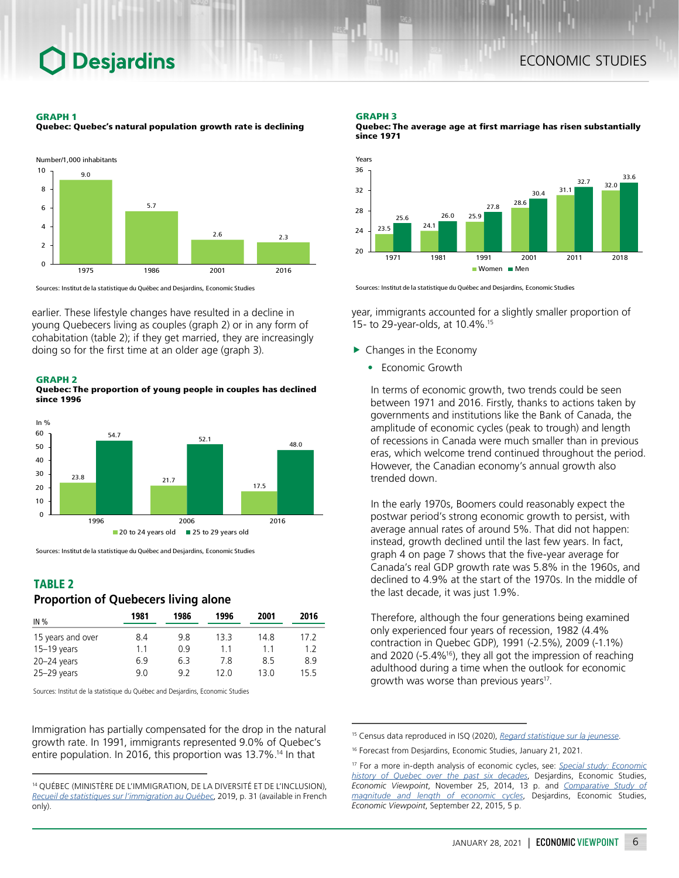#### GRAPH 1

Quebec: Quebec's natural population growth rate is declining



Sources: Institut de la statistique du Québec and Desjardins, Economic Studies

earlier. These lifestyle changes have resulted in a decline in young Quebecers living as couples (graph 2) or in any form of cohabitation (table 2); if they get married, they are increasingly doing so for the first time at an older age (graph 3).

#### GRAPH 2

Quebec: The proportion of young people in couples has declined since 1996



Sources: Institut de la statistique du Québec and Desjardins, Economic Studies

## TABLE 2

## *Proportion of Quebecers living alone*

| IN%               | 1981 | 1986 | 1996 | 2001 | 2016 |
|-------------------|------|------|------|------|------|
| 15 years and over | 8.4  | 98   | 133  | 14 8 | 17 2 |
| $15-19$ years     | 11   | 0 ዓ  | 11   | 11   | 12   |
| $20 - 24$ years   | 6.9  | 63   | 7.8  | 8.5  | 89   |
| $25 - 29$ years   | 9.0  | 9 Z  | 12 በ | 13 0 | 155  |

Sources: Institut de la statistique du Québec and Desjardins, Economic Studies

Immigration has partially compensated for the drop in the natural growth rate. In 1991, immigrants represented 9.0% of Quebec's entire population. In 2016, this proportion was 13.7%.<sup>14</sup> In that

#### GRAPH 3





Sources: Institut de la statistique du Québec and Desjardins, Economic Studies

year, immigrants accounted for a slightly smaller proportion of 15- to 29-year-olds, at 10.4%.<sup>15</sup>

- $\blacktriangleright$  Changes in the Economy
	- Economic Growth

In terms of economic growth, two trends could be seen between 1971 and 2016. Firstly, thanks to actions taken by governments and institutions like the Bank of Canada, the amplitude of economic cycles (peak to trough) and length of recessions in Canada were much smaller than in previous eras, which welcome trend continued throughout the period. However, the Canadian economy's annual growth also trended down.

In the early 1970s, Boomers could reasonably expect the postwar period's strong economic growth to persist, with average annual rates of around 5%. That did not happen: instead, growth declined until the last few years. In fact, graph 4 on page 7 shows that the five-year average for Canada's real GDP growth rate was 5.8% in the 1960s, and declined to 4.9% at the start of the 1970s. In the middle of the last decade, it was just 1.9%.

Therefore, although the four generations being examined only experienced four years of recession, 1982 (4.4% contraction in Quebec GDP), 1991 (-2.5%), 2009 (-1.1%) and 2020 (-5.4%16), they all got the impression of reaching adulthood during a time when the outlook for economic growth was worse than previous years<sup>17</sup>.

<sup>14</sup> QUÉBEC (MINISTÈRE DE L'IMMIGRATION, DE LA DIVERSITÉ ET DE L'INCLUSION), *Recueil de statistiques sur l'immigration au Québec*, 2019, p. 31 (available in French only).

<sup>15</sup> Census data reproduced in ISQ (2020), *[Regard statistique sur la jeunesse](https://statistique.quebec.ca/fr/document/regard-statistique-sur-la-jeunesse)*.

<sup>&</sup>lt;sup>16</sup> Forecast from Desjardins, Economic Studies, January 21, 2021.

<sup>17</sup> For a more in-depth analysis of economic cycles, see: *[Special study: Economic](https://www.desjardins.com/ressources/pdf/pv1411e.pdf?resVer=1416925943000) [history of Quebec over the past six decades](https://www.desjardins.com/ressources/pdf/pv1411e.pdf?resVer=1416925943000)*, Desjardins, Economic Studies, *Economic Viewpoint*, November 25, 2014, 13 p. and *[Comparative Study of](https://www.desjardins.com/ressources/pdf/pv150922e.pdf) [magnitude and length of economic cycles](https://www.desjardins.com/ressources/pdf/pv150922e.pdf)*, Desjardins, Economic Studies, *Economic Viewpoint*, September 22, 2015, 5 p.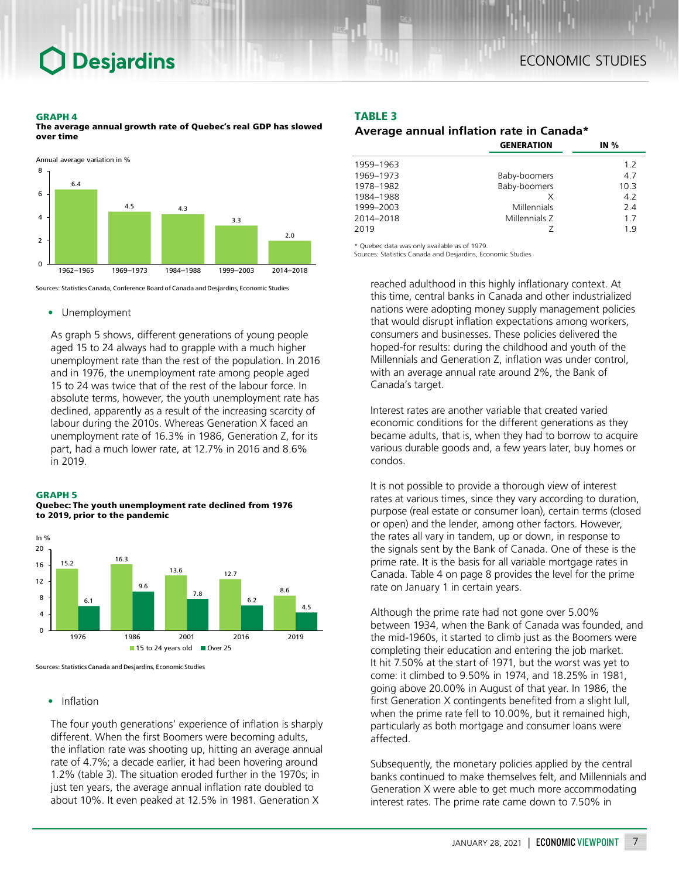#### GRAPH 4

The average annual growth rate of Quebec's real GDP has slowed over time



Sources: Statistics Canada, Conference Board of Canada and Desjardins, Economic Studies

#### • Unemployment

As graph 5 shows, different generations of young people aged 15 to 24 always had to grapple with a much higher unemployment rate than the rest of the population. In 2016 and in 1976, the unemployment rate among people aged 15 to 24 was twice that of the rest of the labour force. In absolute terms, however, the youth unemployment rate has declined, apparently as a result of the increasing scarcity of labour during the 2010s. Whereas Generation X faced an unemployment rate of 16.3% in 1986, Generation Z, for its part, had a much lower rate, at 12.7% in 2016 and 8.6% in 2019.

#### GRAPH 5

Quebec: The youth unemployment rate declined from 1976 to 2019, prior to the pandemic



Sources: Statistics Canada and Desjardins, Economic Studies

### • Inflation

The four youth generations' experience of inflation is sharply different. When the first Boomers were becoming adults, the inflation rate was shooting up, hitting an average annual rate of 4.7%; a decade earlier, it had been hovering around 1.2% (table 3). The situation eroded further in the 1970s; in just ten years, the average annual inflation rate doubled to about 10%. It even peaked at 12.5% in 1981. Generation X

#### TABLE 3

### *Average annual inflation rate in Canada\**

|           | <b>GENERATION</b> | IN $%$ |  |
|-----------|-------------------|--------|--|
| 1959-1963 |                   | 1.2    |  |
| 1969-1973 | Baby-boomers      | 4.7    |  |
| 1978-1982 | Baby-boomers      | 10.3   |  |
| 1984-1988 | X                 | 4.2    |  |
| 1999-2003 | Millennials       | 2.4    |  |
| 2014-2018 | Millennials Z     | 1.7    |  |
| 2019      |                   | 19     |  |

Quebec data was only available as of 1979

Sources: Statistics Canada and Desjardins, Economic Studies

reached adulthood in this highly inflationary context. At this time, central banks in Canada and other industrialized nations were adopting money supply management policies that would disrupt inflation expectations among workers, consumers and businesses. These policies delivered the hoped-for results: during the childhood and youth of the Millennials and Generation Z, inflation was under control, with an average annual rate around 2%, the Bank of Canada's target.

Interest rates are another variable that created varied economic conditions for the different generations as they became adults, that is, when they had to borrow to acquire various durable goods and, a few years later, buy homes or condos.

It is not possible to provide a thorough view of interest rates at various times, since they vary according to duration, purpose (real estate or consumer loan), certain terms (closed or open) and the lender, among other factors. However, the rates all vary in tandem, up or down, in response to the signals sent by the Bank of Canada. One of these is the prime rate. It is the basis for all variable mortgage rates in Canada. Table 4 on page 8 provides the level for the prime rate on January 1 in certain years.

Although the prime rate had not gone over 5.00% between 1934, when the Bank of Canada was founded, and the mid-1960s, it started to climb just as the Boomers were completing their education and entering the job market. It hit 7.50% at the start of 1971, but the worst was yet to come: it climbed to 9.50% in 1974, and 18.25% in 1981, going above 20.00% in August of that year. In 1986, the first Generation X contingents benefited from a slight lull, when the prime rate fell to 10.00%, but it remained high, particularly as both mortgage and consumer loans were affected.

Subsequently, the monetary policies applied by the central banks continued to make themselves felt, and Millennials and Generation X were able to get much more accommodating interest rates. The prime rate came down to 7.50% in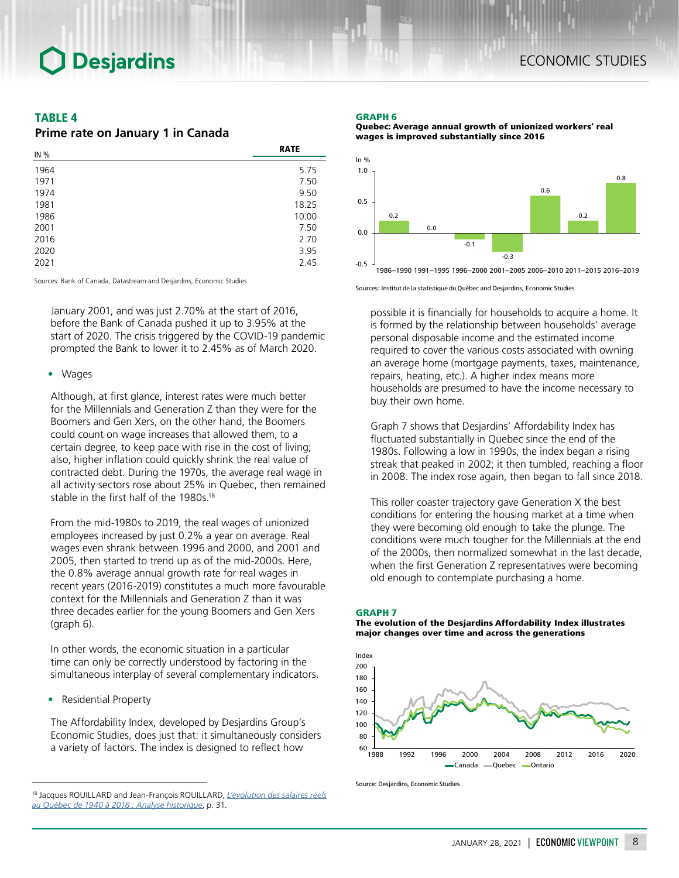## TABLE 4

## *Prime rate on January 1 in Canada*

| IN % | <b>RATE</b> |
|------|-------------|
| 1964 | 5.75        |
| 1971 | 7.50        |
| 1974 | 9.50        |
| 1981 | 18.25       |
| 1986 | 10.00       |
| 2001 | 7.50        |
| 2016 | 2.70        |
| 2020 | 3.95        |
| 2021 | 2.45        |

Sources: Bank of Canada, Datastream and Desjardins, Economic Studies

January 2001, and was just 2.70% at the start of 2016, before the Bank of Canada pushed it up to 3.95% at the start of 2020. The crisis triggered by the COVID-19 pandemic prompted the Bank to lower it to 2.45% as of March 2020.

#### • Wages

Although, at first glance, interest rates were much better for the Millennials and Generation Z than they were for the Boomers and Gen Xers, on the other hand, the Boomers could count on wage increases that allowed them, to a certain degree, to keep pace with rise in the cost of living; also, higher inflation could quickly shrink the real value of contracted debt. During the 1970s, the average real wage in all activity sectors rose about 25% in Quebec, then remained stable in the first half of the 1980s.<sup>18</sup>

From the mid-1980s to 2019, the real wages of unionized employees increased by just 0.2% a year on average. Real wages even shrank between 1996 and 2000, and 2001 and 2005, then started to trend up as of the mid-2000s. Here, the 0.8% average annual growth rate for real wages in recent years (2016-2019) constitutes a much more favourable context for the Millennials and Generation Z than it was three decades earlier for the young Boomers and Gen Xers (graph 6).

In other words, the economic situation in a particular time can only be correctly understood by factoring in the simultaneous interplay of several complementary indicators.

• Residential Property

The Affordability Index, developed by Desjardins Group's Economic Studies, does just that: it simultaneously considers a variety of factors. The index is designed to reflect how

#### GRAPH 6





1986–1990 1991–1995 1996–2000 2001–2005 2006–2010 2011–2015 2016–2019

Sources: Institut de la statistique du Québec and Desjardins, Economic Studies

possible it is financially for households to acquire a home. It is formed by the relationship between households' average personal disposable income and the estimated income required to cover the various costs associated with owning an average home (mortgage payments, taxes, maintenance, repairs, heating, etc.). A higher index means more households are presumed to have the income necessary to buy their own home.

Graph 7 shows that Desjardins' Affordability Index has fluctuated substantially in Quebec since the end of the 1980s. Following a low in 1990s, the index began a rising streak that peaked in 2002; it then tumbled, reaching a floor in 2008. The index rose again, then began to fall since 2018.

This roller coaster trajectory gave Generation X the best conditions for entering the housing market at a time when they were becoming old enough to take the plunge. The conditions were much tougher for the Millennials at the end of the 2000s, then normalized somewhat in the last decade, when the first Generation Z representatives were becoming old enough to contemplate purchasing a home.

#### GRAPH 7

The evolution of the Desjardins Affordability Index illustrates major changes over time and across the generations



Source: Desjardins, Economic Studies

<sup>18</sup> Jacques ROUILLARD and Jean-François ROUILLARD, *[L'évolution des salaires réels](http://expertise.hec.ca/actualiteeconomique/wp-content/uploads/2019/09/ae412_art_par.pdf)  [au Québec de 1940 à 2018 : Analyse historique](http://expertise.hec.ca/actualiteeconomique/wp-content/uploads/2019/09/ae412_art_par.pdf)*, p. 31.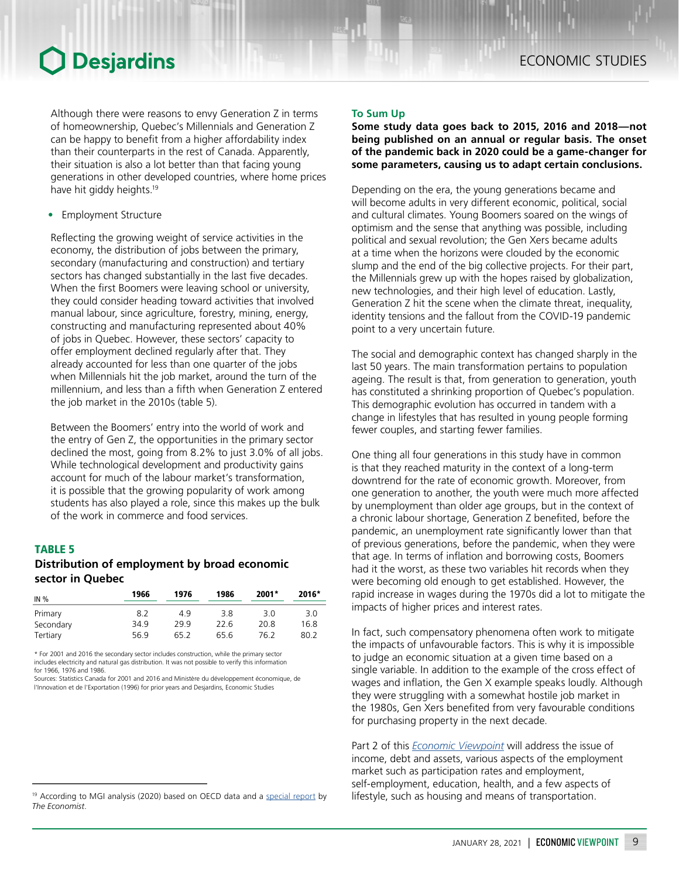Although there were reasons to envy Generation Z in terms of homeownership, Quebec's Millennials and Generation Z can be happy to benefit from a higher affordability index than their counterparts in the rest of Canada. Apparently, their situation is also a lot better than that facing young generations in other developed countries, where home prices have hit giddy heights.<sup>19</sup>

• Employment Structure

Reflecting the growing weight of service activities in the economy, the distribution of jobs between the primary, secondary (manufacturing and construction) and tertiary sectors has changed substantially in the last five decades. When the first Boomers were leaving school or university, they could consider heading toward activities that involved manual labour, since agriculture, forestry, mining, energy, constructing and manufacturing represented about 40% of jobs in Quebec. However, these sectors' capacity to offer employment declined regularly after that. They already accounted for less than one quarter of the jobs when Millennials hit the job market, around the turn of the millennium, and less than a fifth when Generation Z entered the job market in the 2010s (table 5).

Between the Boomers' entry into the world of work and the entry of Gen Z, the opportunities in the primary sector declined the most, going from 8.2% to just 3.0% of all jobs. While technological development and productivity gains account for much of the labour market's transformation, it is possible that the growing popularity of work among students has also played a role, since this makes up the bulk of the work in commerce and food services.

## TABLE 5

### *Distribution of employment by broad economic sector in Quebec*

| IN %                 | 1966        | 1976       | 1986        | $2001*$     | 2016*       |
|----------------------|-------------|------------|-------------|-------------|-------------|
| Primary<br>Secondary | 8.2<br>34.9 | 49<br>29.9 | 3.8<br>22.6 | 3.0<br>20.8 | 3.0<br>16.8 |
| Tertiary             | 56.9        | 65.2       | 65.6        | 76.2        | 80.2        |

\* For 2001 and 2016 the secondary sector includes construction, while the primary sector includes electricity and natural gas distribution. It was not possible to verify this information for 1966, 1976 and 1986.

Sources: Statistics Canada for 2001 and 2016 and Ministère du développement économique, de l'Innovation et de l'Exportation (1996) for prior years and Desjardins, Economic Studies

### **To Sum Up**

### **Some study data goes back to 2015, 2016 and 2018—not being published on an annual or regular basis. The onset of the pandemic back in 2020 could be a game-changer for some parameters, causing us to adapt certain conclusions.**

Depending on the era, the young generations became and will become adults in very different economic, political, social and cultural climates. Young Boomers soared on the wings of optimism and the sense that anything was possible, including political and sexual revolution; the Gen Xers became adults at a time when the horizons were clouded by the economic slump and the end of the big collective projects. For their part, the Millennials grew up with the hopes raised by globalization, new technologies, and their high level of education. Lastly, Generation Z hit the scene when the climate threat, inequality, identity tensions and the fallout from the COVID-19 pandemic point to a very uncertain future.

The social and demographic context has changed sharply in the last 50 years. The main transformation pertains to population ageing. The result is that, from generation to generation, youth has constituted a shrinking proportion of Quebec's population. This demographic evolution has occurred in tandem with a change in lifestyles that has resulted in young people forming fewer couples, and starting fewer families.

One thing all four generations in this study have in common is that they reached maturity in the context of a long-term downtrend for the rate of economic growth. Moreover, from one generation to another, the youth were much more affected by unemployment than older age groups, but in the context of a chronic labour shortage, Generation Z benefited, before the pandemic, an unemployment rate significantly lower than that of previous generations, before the pandemic, when they were that age. In terms of inflation and borrowing costs, Boomers had it the worst, as these two variables hit records when they were becoming old enough to get established. However, the rapid increase in wages during the 1970s did a lot to mitigate the impacts of higher prices and interest rates.

In fact, such compensatory phenomena often work to mitigate the impacts of unfavourable factors. This is why it is impossible to judge an economic situation at a given time based on a single variable. In addition to the example of the cross effect of wages and inflation, the Gen X example speaks loudly. Although they were struggling with a somewhat hostile job market in the 1980s, Gen Xers benefited from very favourable conditions for purchasing property in the next decade.

Part 2 of this *[Economic Viewpoint](https://www.desjardins.com/ressources/pdf/pv012921e.pdf?resVer=1611948231000)* will address the issue of income, debt and assets, various aspects of the employment market such as participation rates and employment, self‑employment, education, health, and a few aspects of lifestyle, such as housing and means of transportation.

<sup>&</sup>lt;sup>19</sup> According to MGI analysis (2020) based on OECD data and a [special report](https://www.economist.com/special-report/2020/01/16/housing-is-at-the-root-of-many-of-the-rich-worlds-problems) by *The Economist*.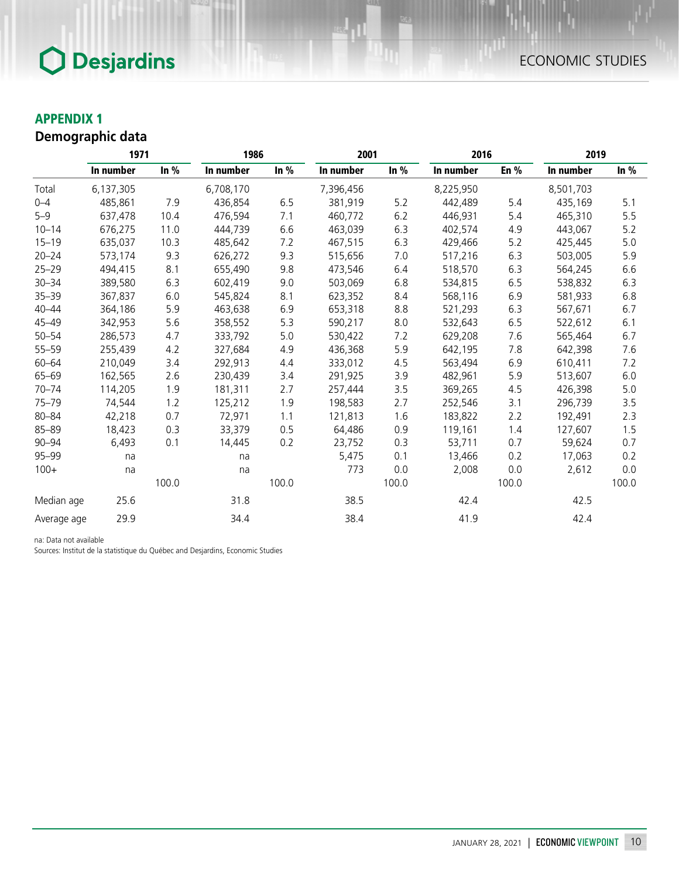## APPENDIX 1

## *Demographic data*

|             | 1971      |        | 1986      | 2001   |           |        | 2016      |        | 2019      |        |
|-------------|-----------|--------|-----------|--------|-----------|--------|-----------|--------|-----------|--------|
|             | In number | In $%$ | In number | In $%$ | In number | In $%$ | In number | En $%$ | In number | In $%$ |
| Total       | 6,137,305 |        | 6,708,170 |        | 7,396,456 |        | 8,225,950 |        | 8,501,703 |        |
| $0 - 4$     | 485,861   | 7.9    | 436,854   | 6.5    | 381,919   | 5.2    | 442,489   | 5.4    | 435,169   | 5.1    |
| $5 - 9$     | 637,478   | 10.4   | 476,594   | 7.1    | 460,772   | 6.2    | 446,931   | 5.4    | 465,310   | 5.5    |
| $10 - 14$   | 676,275   | 11.0   | 444,739   | 6.6    | 463,039   | 6.3    | 402,574   | 4.9    | 443,067   | 5.2    |
| $15 - 19$   | 635,037   | 10.3   | 485,642   | 7.2    | 467,515   | 6.3    | 429,466   | $5.2$  | 425,445   | 5.0    |
| $20 - 24$   | 573,174   | 9.3    | 626,272   | 9.3    | 515,656   | 7.0    | 517,216   | 6.3    | 503,005   | 5.9    |
| $25 - 29$   | 494,415   | 8.1    | 655,490   | 9.8    | 473,546   | 6.4    | 518,570   | 6.3    | 564,245   | 6.6    |
| $30 - 34$   | 389,580   | 6.3    | 602,419   | 9.0    | 503,069   | 6.8    | 534,815   | 6.5    | 538,832   | 6.3    |
| $35 - 39$   | 367,837   | 6.0    | 545,824   | 8.1    | 623,352   | 8.4    | 568,116   | 6.9    | 581,933   | 6.8    |
| $40 - 44$   | 364,186   | 5.9    | 463,638   | 6.9    | 653,318   | 8.8    | 521,293   | 6.3    | 567,671   | 6.7    |
| $45 - 49$   | 342,953   | 5.6    | 358,552   | 5.3    | 590,217   | 8.0    | 532,643   | $6.5$  | 522,612   | 6.1    |
| $50 - 54$   | 286,573   | 4.7    | 333,792   | 5.0    | 530,422   | 7.2    | 629,208   | 7.6    | 565,464   | 6.7    |
| $55 - 59$   | 255,439   | 4.2    | 327,684   | 4.9    | 436,368   | 5.9    | 642,195   | 7.8    | 642,398   | 7.6    |
| $60 - 64$   | 210,049   | 3.4    | 292,913   | 4.4    | 333,012   | 4.5    | 563,494   | 6.9    | 610,411   | 7.2    |
| $65 - 69$   | 162,565   | 2.6    | 230,439   | 3.4    | 291,925   | 3.9    | 482,961   | 5.9    | 513,607   | 6.0    |
| $70 - 74$   | 114,205   | 1.9    | 181,311   | 2.7    | 257,444   | 3.5    | 369,265   | 4.5    | 426,398   | 5.0    |
| $75 - 79$   | 74,544    | 1.2    | 125,212   | 1.9    | 198,583   | 2.7    | 252,546   | 3.1    | 296,739   | 3.5    |
| $80 - 84$   | 42,218    | 0.7    | 72,971    | 1.1    | 121,813   | 1.6    | 183,822   | 2.2    | 192,491   | 2.3    |
| $85 - 89$   | 18,423    | 0.3    | 33,379    | 0.5    | 64,486    | 0.9    | 119,161   | 1.4    | 127,607   | 1.5    |
| $90 - 94$   | 6,493     | 0.1    | 14,445    | 0.2    | 23,752    | 0.3    | 53,711    | 0.7    | 59,624    | 0.7    |
| $95 - 99$   | na        |        | na        |        | 5,475     | 0.1    | 13,466    | 0.2    | 17,063    | 0.2    |
| $100+$      | na        |        | na        |        | 773       | 0.0    | 2,008     | 0.0    | 2,612     | 0.0    |
|             |           | 100.0  |           | 100.0  |           | 100.0  |           | 100.0  |           | 100.0  |
| Median age  | 25.6      |        | 31.8      |        | 38.5      |        | 42.4      |        | 42.5      |        |
| Average age | 29.9      |        | 34.4      |        | 38.4      |        | 41.9      |        | 42.4      |        |

na: Data not available

Sources: Institut de la statistique du Québec and Desjardins, Economic Studies